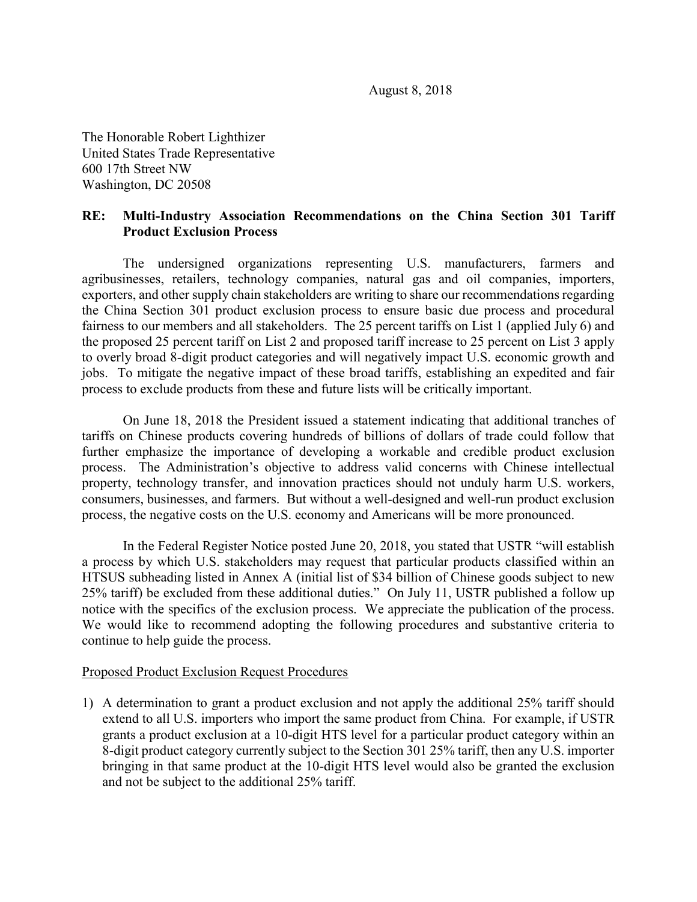August 8, 2018

The Honorable Robert Lighthizer United States Trade Representative 600 17th Street NW Washington, DC 20508

## **RE: Multi-Industry Association Recommendations on the China Section 301 Tariff Product Exclusion Process**

The undersigned organizations representing U.S. manufacturers, farmers and agribusinesses, retailers, technology companies, natural gas and oil companies, importers, exporters, and other supply chain stakeholders are writing to share our recommendations regarding the China Section 301 product exclusion process to ensure basic due process and procedural fairness to our members and all stakeholders. The 25 percent tariffs on List 1 (applied July 6) and the proposed 25 percent tariff on List 2 and proposed tariff increase to 25 percent on List 3 apply to overly broad 8-digit product categories and will negatively impact U.S. economic growth and jobs. To mitigate the negative impact of these broad tariffs, establishing an expedited and fair process to exclude products from these and future lists will be critically important.

On June 18, 2018 the President issued a statement indicating that additional tranches of tariffs on Chinese products covering hundreds of billions of dollars of trade could follow that further emphasize the importance of developing a workable and credible product exclusion process. The Administration's objective to address valid concerns with Chinese intellectual property, technology transfer, and innovation practices should not unduly harm U.S. workers, consumers, businesses, and farmers. But without a well-designed and well-run product exclusion process, the negative costs on the U.S. economy and Americans will be more pronounced.

In the Federal Register Notice posted June 20, 2018, you stated that USTR "will establish a process by which U.S. stakeholders may request that particular products classified within an HTSUS subheading listed in Annex A (initial list of \$34 billion of Chinese goods subject to new 25% tariff) be excluded from these additional duties." On July 11, USTR published a follow up notice with the specifics of the exclusion process. We appreciate the publication of the process. We would like to recommend adopting the following procedures and substantive criteria to continue to help guide the process.

## Proposed Product Exclusion Request Procedures

1) A determination to grant a product exclusion and not apply the additional 25% tariff should extend to all U.S. importers who import the same product from China. For example, if USTR grants a product exclusion at a 10-digit HTS level for a particular product category within an 8-digit product category currently subject to the Section 301 25% tariff, then any U.S. importer bringing in that same product at the 10-digit HTS level would also be granted the exclusion and not be subject to the additional 25% tariff.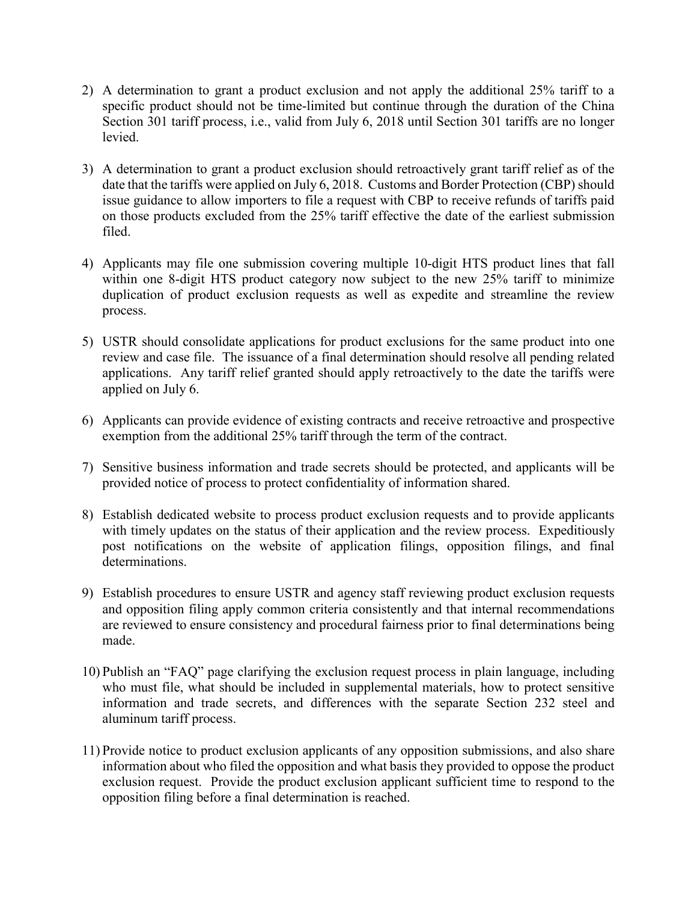- 2) A determination to grant a product exclusion and not apply the additional 25% tariff to a specific product should not be time-limited but continue through the duration of the China Section 301 tariff process, i.e., valid from July 6, 2018 until Section 301 tariffs are no longer levied.
- 3) A determination to grant a product exclusion should retroactively grant tariff relief as of the date that the tariffs were applied on July 6, 2018. Customs and Border Protection (CBP) should issue guidance to allow importers to file a request with CBP to receive refunds of tariffs paid on those products excluded from the 25% tariff effective the date of the earliest submission filed.
- 4) Applicants may file one submission covering multiple 10-digit HTS product lines that fall within one 8-digit HTS product category now subject to the new 25% tariff to minimize duplication of product exclusion requests as well as expedite and streamline the review process.
- 5) USTR should consolidate applications for product exclusions for the same product into one review and case file. The issuance of a final determination should resolve all pending related applications. Any tariff relief granted should apply retroactively to the date the tariffs were applied on July 6.
- 6) Applicants can provide evidence of existing contracts and receive retroactive and prospective exemption from the additional 25% tariff through the term of the contract.
- 7) Sensitive business information and trade secrets should be protected, and applicants will be provided notice of process to protect confidentiality of information shared.
- 8) Establish dedicated website to process product exclusion requests and to provide applicants with timely updates on the status of their application and the review process. Expeditiously post notifications on the website of application filings, opposition filings, and final determinations.
- 9) Establish procedures to ensure USTR and agency staff reviewing product exclusion requests and opposition filing apply common criteria consistently and that internal recommendations are reviewed to ensure consistency and procedural fairness prior to final determinations being made.
- 10) Publish an "FAQ" page clarifying the exclusion request process in plain language, including who must file, what should be included in supplemental materials, how to protect sensitive information and trade secrets, and differences with the separate Section 232 steel and aluminum tariff process.
- 11) Provide notice to product exclusion applicants of any opposition submissions, and also share information about who filed the opposition and what basis they provided to oppose the product exclusion request. Provide the product exclusion applicant sufficient time to respond to the opposition filing before a final determination is reached.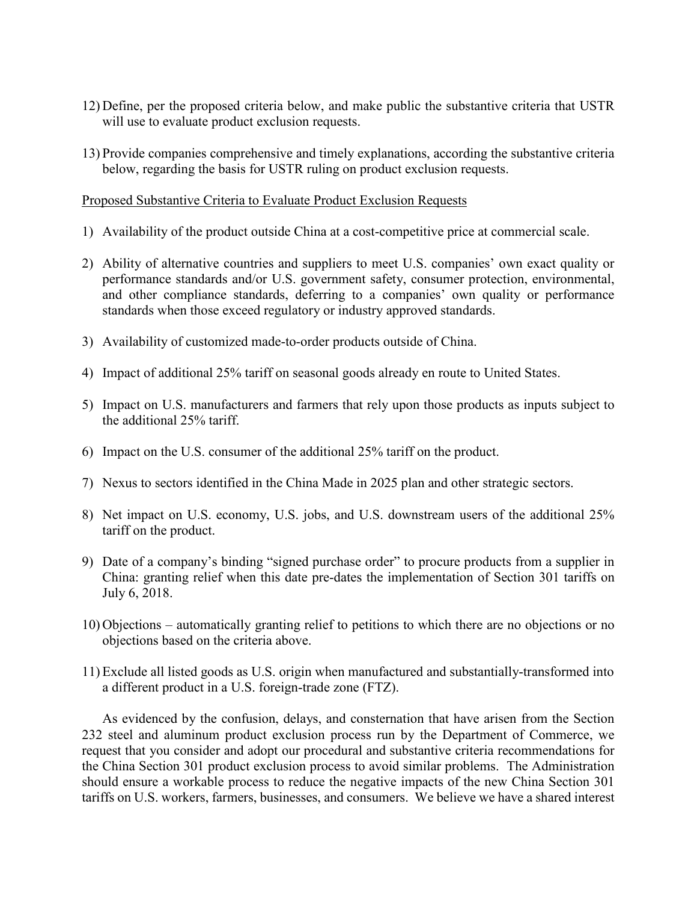- 12) Define, per the proposed criteria below, and make public the substantive criteria that USTR will use to evaluate product exclusion requests.
- 13) Provide companies comprehensive and timely explanations, according the substantive criteria below, regarding the basis for USTR ruling on product exclusion requests.

## Proposed Substantive Criteria to Evaluate Product Exclusion Requests

- 1) Availability of the product outside China at a cost-competitive price at commercial scale.
- 2) Ability of alternative countries and suppliers to meet U.S. companies' own exact quality or performance standards and/or U.S. government safety, consumer protection, environmental, and other compliance standards, deferring to a companies' own quality or performance standards when those exceed regulatory or industry approved standards.
- 3) Availability of customized made-to-order products outside of China.
- 4) Impact of additional 25% tariff on seasonal goods already en route to United States.
- 5) Impact on U.S. manufacturers and farmers that rely upon those products as inputs subject to the additional 25% tariff.
- 6) Impact on the U.S. consumer of the additional 25% tariff on the product.
- 7) Nexus to sectors identified in the China Made in 2025 plan and other strategic sectors.
- 8) Net impact on U.S. economy, U.S. jobs, and U.S. downstream users of the additional 25% tariff on the product.
- 9) Date of a company's binding "signed purchase order" to procure products from a supplier in China: granting relief when this date pre-dates the implementation of Section 301 tariffs on July 6, 2018.
- 10) Objections automatically granting relief to petitions to which there are no objections or no objections based on the criteria above.
- 11) Exclude all listed goods as U.S. origin when manufactured and substantially-transformed into a different product in a U.S. foreign-trade zone (FTZ).

As evidenced by the confusion, delays, and consternation that have arisen from the Section 232 steel and aluminum product exclusion process run by the Department of Commerce, we request that you consider and adopt our procedural and substantive criteria recommendations for the China Section 301 product exclusion process to avoid similar problems. The Administration should ensure a workable process to reduce the negative impacts of the new China Section 301 tariffs on U.S. workers, farmers, businesses, and consumers. We believe we have a shared interest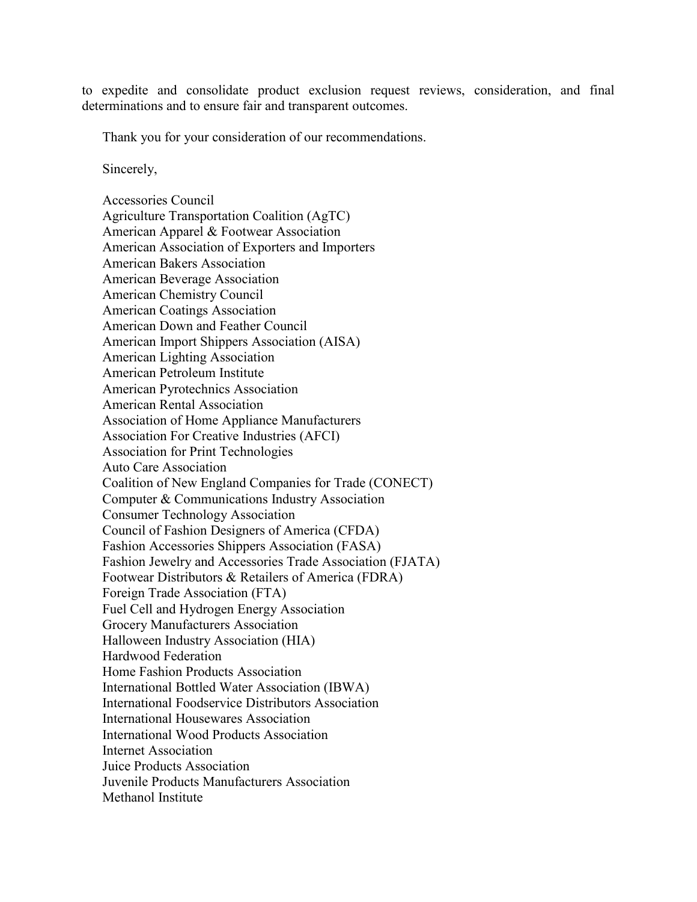to expedite and consolidate product exclusion request reviews, consideration, and final determinations and to ensure fair and transparent outcomes.

Thank you for your consideration of our recommendations.

Sincerely,

Accessories Council Agriculture Transportation Coalition (AgTC) American Apparel & Footwear Association American Association of Exporters and Importers American Bakers Association American Beverage Association American Chemistry Council American Coatings Association American Down and Feather Council American Import Shippers Association (AISA) American Lighting Association American Petroleum Institute American Pyrotechnics Association American Rental Association Association of Home Appliance Manufacturers Association For Creative Industries (AFCI) Association for Print Technologies Auto Care Association Coalition of New England Companies for Trade (CONECT) Computer & Communications Industry Association Consumer Technology Association Council of Fashion Designers of America (CFDA) Fashion Accessories Shippers Association (FASA) Fashion Jewelry and Accessories Trade Association (FJATA) Footwear Distributors & Retailers of America (FDRA) Foreign Trade Association (FTA) Fuel Cell and Hydrogen Energy Association Grocery Manufacturers Association Halloween Industry Association (HIA) Hardwood Federation Home Fashion Products Association International Bottled Water Association (IBWA) International Foodservice Distributors Association International Housewares Association International Wood Products Association Internet Association Juice Products Association Juvenile Products Manufacturers Association Methanol Institute